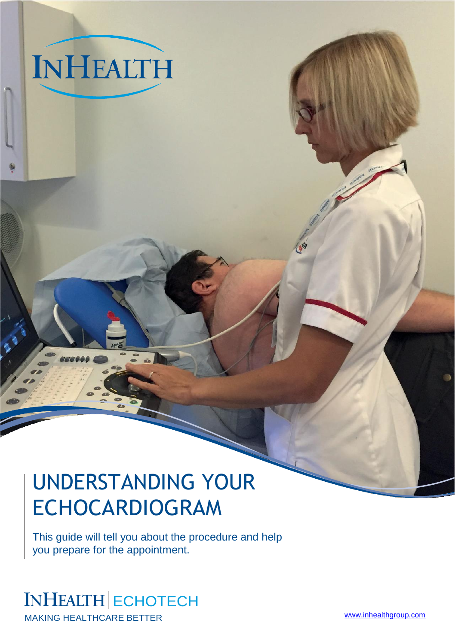# UNDERSTANDING YOUR ECHOCARDIOGRAM

This guide will tell you about the procedure and help you prepare for the appointment.

# INHEALTH ECHOTECH

**INHEALTH** 

MAKING HEALTHCARE BETTER **EXAMPLE A SET A SET A SET A SET A SET A SET A SET A SET A SET A SET A SET A SET A SET A SET A SET A SET A SET A SET A SET A SET A SET A SET A SET A SET A SET A SET A SET A SET A SET A SET A SET A**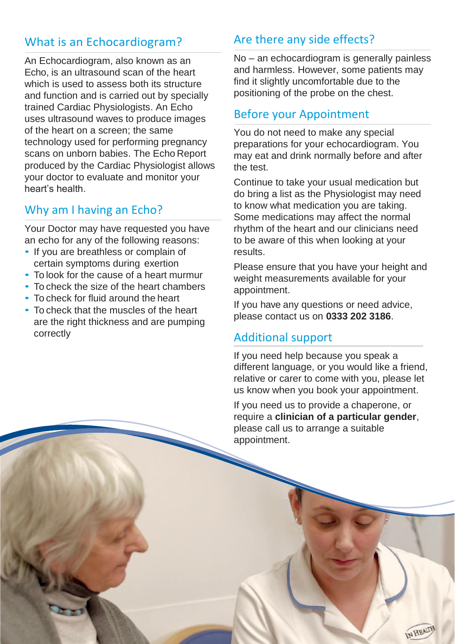# What is an Echocardiogram?

An Echocardiogram, also known as an Echo, is an ultrasound scan of the heart which is used to assess both its structure and function and is carried out by specially trained Cardiac Physiologists. An Echo uses ultrasound waves to produce images of the heart on a screen; the same technology used for performing pregnancy scans on unborn babies. The Echo Report produced by the Cardiac Physiologist allows your doctor to evaluate and monitor your heart's health.

# Why am I having an Echo?

Your Doctor may have requested you have an echo for any of the following reasons:

- If you are breathless or complain of certain symptoms during exertion
- To look for the cause of a heart murmur
- To check the size of the heart chambers
- To check for fluid around the heart
- To check that the muscles of the heart are the right thickness and are pumping correctly

# Are there any side effects?

No – an echocardiogram is generally painless and harmless. However, some patients may find it slightly uncomfortable due to the positioning of the probe on the chest.

#### Before your Appointment

You do not need to make any special preparations for your echocardiogram. You may eat and drink normally before and after the test.

Continue to take your usual medication but do bring a list as the Physiologist may need to know what medication you are taking. Some medications may affect the normal rhythm of the heart and our clinicians need to be aware of this when looking at your results.

Please ensure that you have your height and weight measurements available for your appointment.

If you have any questions or need advice, please contact us on **0333 202 3186**.

#### Additional support

If you need help because you speak a different language, or you would like a friend, relative or carer to come with you, please let us know when you book your appointment.

If you need us to provide a chaperone, or require a **clinician of a particular gender**, please call us to arrange a suitable appointment.

IN HEALTP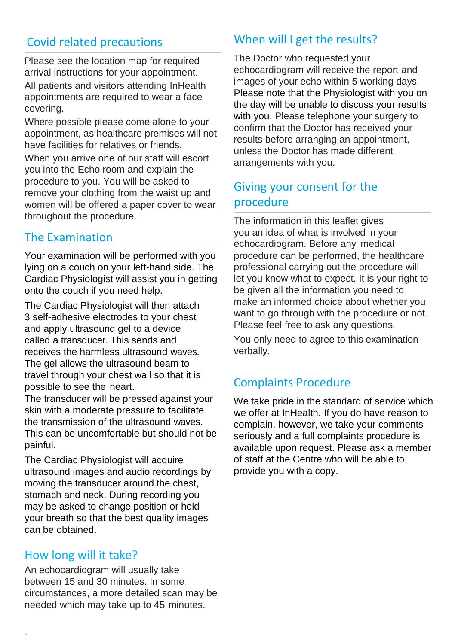# Covid related precautions

Please see the location map for required arrival instructions for your appointment. All patients and visitors attending InHealth appointments are required to wear a face covering.

Where possible please come alone to your appointment, as healthcare premises will not have facilities for relatives or friends. When you arrive one of our staff will escort you into the Echo room and explain the procedure to you. You will be asked to remove your clothing from the waist up and women will be offered a paper cover to wear throughout the procedure.

#### The Examination

Your examination will be performed with you lying on a couch on your left-hand side. The Cardiac Physiologist will assist you in getting onto the couch if you need help.

The Cardiac Physiologist will then attach 3 self-adhesive electrodes to your chest and apply ultrasound gel to a device called a transducer. This sends and receives the harmless ultrasound waves. The gel allows the ultrasound beam to travel through your chest wall so that it is possible to see the heart.

The transducer will be pressed against your skin with a moderate pressure to facilitate the transmission of the ultrasound waves. This can be uncomfortable but should not be painful.

The Cardiac Physiologist will acquire ultrasound images and audio recordings by moving the transducer around the chest, stomach and neck. During recording you may be asked to change position or hold your breath so that the best quality images can be obtained.

#### How long will it take?

An echocardiogram will usually take between 15 and 30 minutes. In some circumstances, a more detailed scan may be needed which may take up to 45 minutes.

# When will I get the results?

The Doctor who requested your echocardiogram will receive the report and images of your echo within 5 working days Please note that the Physiologist with you on the day will be unable to discuss your results with you. Please telephone your surgery to confirm that the Doctor has received your results before arranging an appointment, unless the Doctor has made different arrangements with you.

# Giving your consent for the procedure

The information in this leaflet gives you an idea of what is involved in your echocardiogram. Before any medical procedure can be performed, the healthcare professional carrying out the procedure will let you know what to expect. It is your right to be given all the information you need to make an informed choice about whether you want to go through with the procedure or not. Please feel free to ask any questions.

You only need to agree to this examination verbally.

# Complaints Procedure

We take pride in the standard of service which we offer at InHealth. If you do have reason to complain, however, we take your comments seriously and a full complaints procedure is available upon request. Please ask a member of staff at the Centre who will be able to provide you with a copy.